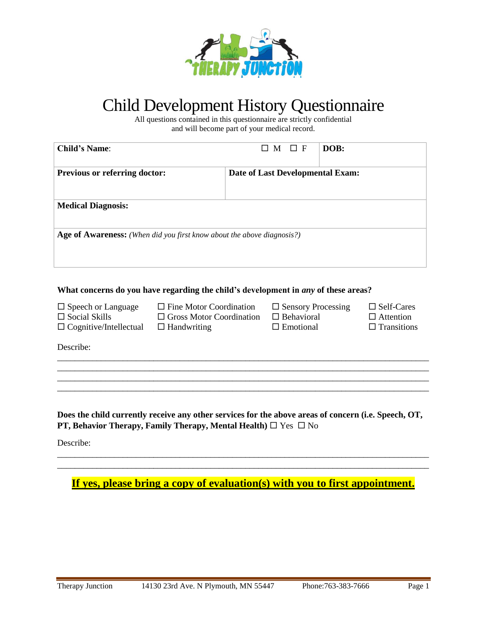

# Child Development History Questionnaire

All questions contained in this questionnaire are strictly confidential and will become part of your medical record.

| <b>Previous or referring doctor:</b>                                   | Date of Last Developmental Exam:      |                                                                                                                                                           |
|------------------------------------------------------------------------|---------------------------------------|-----------------------------------------------------------------------------------------------------------------------------------------------------------|
|                                                                        |                                       |                                                                                                                                                           |
|                                                                        |                                       |                                                                                                                                                           |
| Age of Awareness: (When did you first know about the above diagnosis?) |                                       |                                                                                                                                                           |
|                                                                        |                                       |                                                                                                                                                           |
|                                                                        |                                       |                                                                                                                                                           |
| $\Box$ Fine Motor Coordination<br>$\Box$ Handwriting                   | $\Box$ Behavioral<br>$\Box$ Emotional | $\Box$ Self-Cares<br>$\Box$ Attention<br>$\Box$ Transitions                                                                                               |
|                                                                        |                                       |                                                                                                                                                           |
|                                                                        |                                       |                                                                                                                                                           |
|                                                                        |                                       |                                                                                                                                                           |
|                                                                        |                                       | What concerns do you have regarding the child's development in <i>any</i> of these areas?<br>$\Box$ Sensory Processing<br>$\Box$ Gross Motor Coordination |

**PT, Behavior Therapy, Family Therapy, Mental Health)**  $\Box$  Yes  $\Box$  No Describe:

**If yes, please bring a copy of evaluation(s) with you to first appointment.**

\_\_\_\_\_\_\_\_\_\_\_\_\_\_\_\_\_\_\_\_\_\_\_\_\_\_\_\_\_\_\_\_\_\_\_\_\_\_\_\_\_\_\_\_\_\_\_\_\_\_\_\_\_\_\_\_\_\_\_\_\_\_\_\_\_\_\_\_\_\_\_\_\_\_\_\_\_\_\_\_\_\_\_\_\_ \_\_\_\_\_\_\_\_\_\_\_\_\_\_\_\_\_\_\_\_\_\_\_\_\_\_\_\_\_\_\_\_\_\_\_\_\_\_\_\_\_\_\_\_\_\_\_\_\_\_\_\_\_\_\_\_\_\_\_\_\_\_\_\_\_\_\_\_\_\_\_\_\_\_\_\_\_\_\_\_\_\_\_\_\_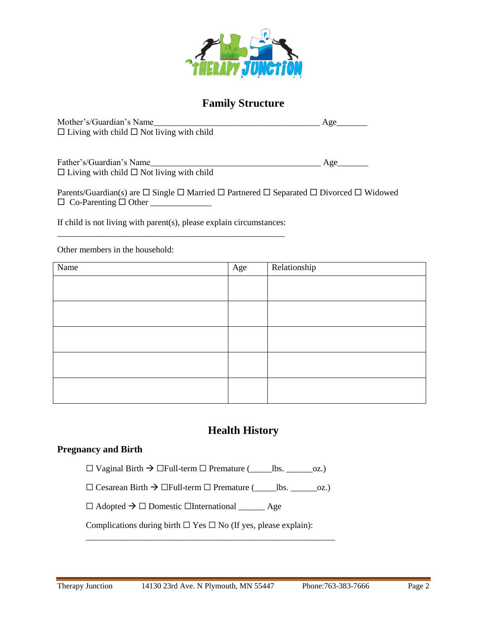

## **Family Structure**

| Mother's/Guardian's Name                              | Age |
|-------------------------------------------------------|-----|
| $\Box$ Living with child $\Box$ Not living with child |     |

Father's/Guardian's Name\_\_\_\_\_\_\_\_\_\_\_\_\_\_\_\_\_\_\_\_\_\_\_\_\_\_\_\_\_\_\_\_\_\_\_\_\_\_\_ Age\_\_\_\_\_\_\_  $\Box$  Living with child  $\Box$  Not living with child

Parents/Guardian(s) are  $\Box$  Single  $\Box$  Married  $\Box$  Partnered  $\Box$  Separated  $\Box$  Divorced  $\Box$  Widowed Co-Parenting Other \_\_\_\_\_\_\_\_\_\_\_\_\_\_

If child is not living with parent(s), please explain circumstances: \_\_\_\_\_\_\_\_\_\_\_\_\_\_\_\_\_\_\_\_\_\_\_\_\_\_\_\_\_\_\_\_\_\_\_\_\_\_\_\_\_\_\_\_\_\_\_\_\_\_\_\_

Other members in the household:

| Name | Age | Relationship |
|------|-----|--------------|
|      |     |              |
|      |     |              |
|      |     |              |
|      |     |              |
|      |     |              |
|      |     |              |
|      |     |              |
|      |     |              |
|      |     |              |
|      |     |              |

# **Health History**

#### **Pregnancy and Birth**

☐ Vaginal Birth ☐Full-term ☐ Premature (\_\_\_\_\_lbs. \_\_\_\_\_\_oz.)

 $\Box$  Cesarean Birth  $\rightarrow$   $\Box$ Full-term  $\Box$  Premature (\_\_\_\_\_\_\_bs. \_\_\_\_\_\_\_oz.)

\_\_\_\_\_\_\_\_\_\_\_\_\_\_\_\_\_\_\_\_\_\_\_\_\_\_\_\_\_\_\_\_\_\_\_\_\_\_\_\_\_\_\_\_\_\_\_\_\_\_\_\_\_\_\_\_\_

 $\Box$  Adopted  $\rightarrow \Box$  Domestic  $\Box$ International \_\_\_\_\_\_\_\_ Age

Complications during birth  $\Box$  Yes  $\Box$  No (If yes, please explain):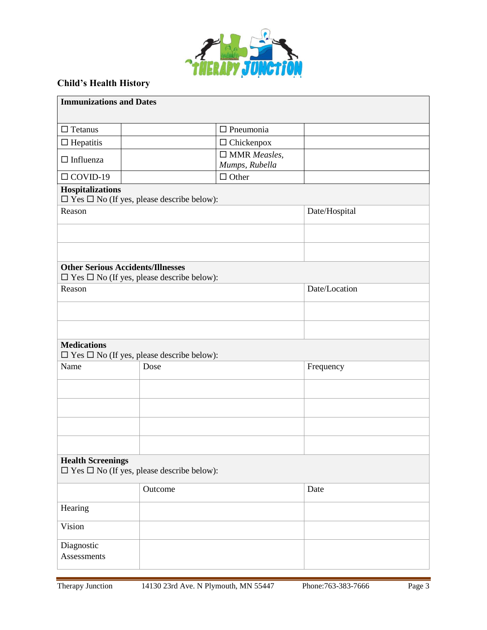

## **Child's Health History**

| <b>Immunizations and Dates</b>           |                                                             |                                |               |
|------------------------------------------|-------------------------------------------------------------|--------------------------------|---------------|
|                                          |                                                             |                                |               |
| $\Box$ Tetanus                           |                                                             | $\Box$ Pneumonia               |               |
| $\Box$ Hepatitis                         |                                                             | $\Box$ Chickenpox              |               |
| $\Box$ Influenza                         |                                                             | $\square$ MMR <i>Measles</i> , |               |
| $\Box$ COVID-19                          |                                                             | Mumps, Rubella<br>$\Box$ Other |               |
| Hospitalizations                         |                                                             |                                |               |
|                                          | $\square$ Yes $\square$ No (If yes, please describe below): |                                |               |
| Reason                                   |                                                             |                                | Date/Hospital |
|                                          |                                                             |                                |               |
|                                          |                                                             |                                |               |
|                                          |                                                             |                                |               |
| <b>Other Serious Accidents/Illnesses</b> |                                                             |                                |               |
|                                          | $\square$ Yes $\square$ No (If yes, please describe below): |                                |               |
| Reason                                   |                                                             |                                | Date/Location |
|                                          |                                                             |                                |               |
|                                          |                                                             |                                |               |
|                                          |                                                             |                                |               |
| <b>Medications</b>                       |                                                             |                                |               |
|                                          | $\square$ Yes $\square$ No (If yes, please describe below): |                                |               |
| Name                                     | Dose                                                        |                                | Frequency     |
|                                          |                                                             |                                |               |
|                                          |                                                             |                                |               |
|                                          |                                                             |                                |               |
|                                          |                                                             |                                |               |
|                                          |                                                             |                                |               |
|                                          |                                                             |                                |               |
| <b>Health Screenings</b>                 | $\square$ Yes $\square$ No (If yes, please describe below): |                                |               |
|                                          | Outcome                                                     |                                | Date          |
| Hearing                                  |                                                             |                                |               |
|                                          |                                                             |                                |               |
| Vision                                   |                                                             |                                |               |
| Diagnostic                               |                                                             |                                |               |
| Assessments                              |                                                             |                                |               |
|                                          |                                                             |                                |               |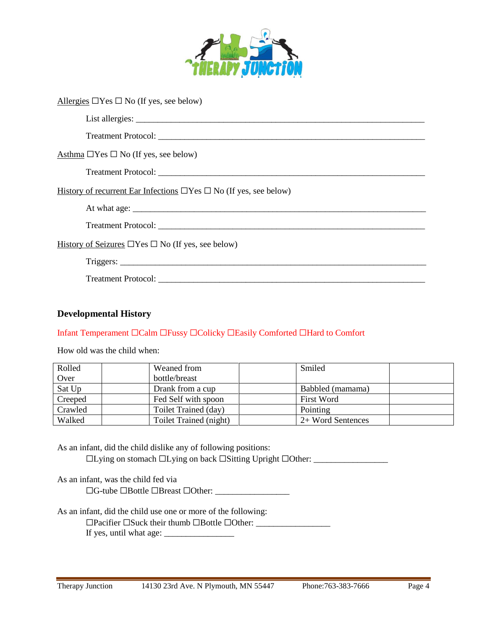

| Allergies $\Box$ Yes $\Box$ No (If yes, see below)                           |
|------------------------------------------------------------------------------|
|                                                                              |
|                                                                              |
| Asthma $\Box$ Yes $\Box$ No (If yes, see below)                              |
|                                                                              |
| History of recurrent Ear Infections $\Box$ Yes $\Box$ No (If yes, see below) |
|                                                                              |
|                                                                              |
| History of Seizures $\Box$ Yes $\Box$ No (If yes, see below)                 |
| Triggers:                                                                    |
|                                                                              |

#### **Developmental History**

#### Infant Temperament ☐Calm ☐Fussy ☐Colicky ☐Easily Comforted ☐Hard to Comfort

How old was the child when:

| Rolled  | Weaned from            | Smiled            |  |
|---------|------------------------|-------------------|--|
| Over    | bottle/breast          |                   |  |
| Sat Up  | Drank from a cup       | Babbled (mamama)  |  |
| Creeped | Fed Self with spoon    | First Word        |  |
| Crawled | Toilet Trained (day)   | Pointing          |  |
| Walked  | Toilet Trained (night) | 2+ Word Sentences |  |

As an infant, did the child dislike any of following positions: ☐Lying on stomach ☐Lying on back ☐Sitting Upright ☐Other: \_\_\_\_\_\_\_\_\_\_\_\_\_\_\_\_\_

As an infant, was the child fed via

☐G-tube ☐Bottle ☐Breast ☐Other: \_\_\_\_\_\_\_\_\_\_\_\_\_\_\_\_\_

As an infant, did the child use one or more of the following:

☐Pacifier ☐Suck their thumb ☐Bottle ☐Other: \_\_\_\_\_\_\_\_\_\_\_\_\_\_\_\_\_ If yes, until what age: \_\_\_\_\_\_\_\_\_\_\_\_\_\_\_\_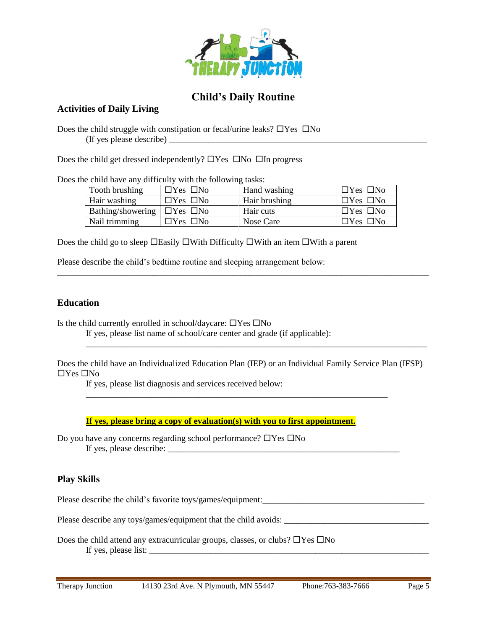

## **Child's Daily Routine**

#### **Activities of Daily Living**

Does the child struggle with constipation or fecal/urine leaks?  $\Box$  Yes  $\Box$  No (If yes please describe) \_\_\_\_\_\_\_\_\_\_\_\_\_\_\_\_\_\_\_\_\_\_\_\_\_\_\_\_\_\_\_\_\_\_\_\_\_\_\_\_\_\_\_\_\_\_\_\_\_\_\_\_\_\_\_\_\_\_\_

Does the child get dressed independently?  $\Box$  Yes  $\Box$  No  $\Box$  In progress

Does the child have any difficulty with the following tasks:

| Tooth brushing                         | $\Box$ Yes $\Box$ No | Hand washing  | $\Box$ Yes $\Box$ No |
|----------------------------------------|----------------------|---------------|----------------------|
| Hair washing                           | $\Box$ Yes $\Box$ No | Hair brushing | $\Box$ Yes $\Box$ No |
| Bathing/showering $\Box$ Yes $\Box$ No |                      | Hair cuts     | $\Box$ Yes $\Box$ No |
| Nail trimming                          | $\Box$ Yes $\Box$ No | Nose Care     | $\Box$ Yes $\Box$ No |

\_\_\_\_\_\_\_\_\_\_\_\_\_\_\_\_\_\_\_\_\_\_\_\_\_\_\_\_\_\_\_\_\_\_\_\_\_\_\_\_\_\_\_\_\_\_\_\_\_\_\_\_\_\_\_\_\_\_\_\_\_\_\_\_\_\_\_\_\_\_\_\_\_\_\_\_\_\_\_\_\_\_\_\_\_

Does the child go to sleep  $\Box$  Easily  $\Box$  With Difficulty  $\Box$  With an item  $\Box$  With a parent

Please describe the child's bedtime routine and sleeping arrangement below:

#### **Education**

Is the child currently enrolled in school/daycare:  $\Box$  Yes  $\Box$  No

If yes, please list name of school/care center and grade (if applicable):

Does the child have an Individualized Education Plan (IEP) or an Individual Family Service Plan (IFSP)  $\Box$ Yes  $\Box$ No

\_\_\_\_\_\_\_\_\_\_\_\_\_\_\_\_\_\_\_\_\_\_\_\_\_\_\_\_\_\_\_\_\_\_\_\_\_\_\_\_\_\_\_\_\_\_\_\_\_\_\_\_\_\_\_\_\_\_\_\_\_\_\_\_\_\_\_\_\_

\_\_\_\_\_\_\_\_\_\_\_\_\_\_\_\_\_\_\_\_\_\_\_\_\_\_\_\_\_\_\_\_\_\_\_\_\_\_\_\_\_\_\_\_\_\_\_\_\_\_\_\_\_\_\_\_\_\_\_\_\_\_\_\_\_\_\_\_\_\_\_\_\_\_\_\_\_\_

If yes, please list diagnosis and services received below:

**If yes, please bring a copy of evaluation(s) with you to first appointment.**

Do you have any concerns regarding school performance?  $\Box$  Yes  $\Box$  No If yes, please describe:

### **Play Skills**

Please describe the child's favorite toys/games/equipment:

Please describe any toys/games/equipment that the child avoids: \_\_\_\_\_\_\_\_\_\_\_\_\_\_\_\_\_\_\_\_\_\_\_\_\_\_\_\_\_\_\_\_\_

Does the child attend any extracurricular groups, classes, or clubs?  $\Box$ Yes  $\Box$ No If yes, please list: \_\_\_\_\_\_\_\_\_\_\_\_\_\_\_\_\_\_\_\_\_\_\_\_\_\_\_\_\_\_\_\_\_\_\_\_\_\_\_\_\_\_\_\_\_\_\_\_\_\_\_\_\_\_\_\_\_\_\_\_\_\_\_\_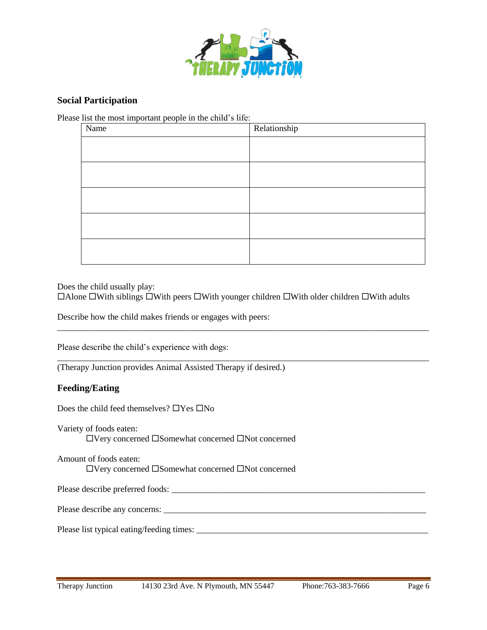

#### **Social Participation**

Please list the most important people in the child's life:

| Name | Relationship |
|------|--------------|
|      |              |
|      |              |
|      |              |
|      |              |
|      |              |

Does the child usually play:

 $\Box$ Alone  $\Box$ With siblings  $\Box$ With peers  $\Box$ With younger children  $\Box$ With older children  $\Box$ With adults

\_\_\_\_\_\_\_\_\_\_\_\_\_\_\_\_\_\_\_\_\_\_\_\_\_\_\_\_\_\_\_\_\_\_\_\_\_\_\_\_\_\_\_\_\_\_\_\_\_\_\_\_\_\_\_\_\_\_\_\_\_\_\_\_\_\_\_\_\_\_\_\_\_\_\_\_\_\_\_\_\_\_\_\_\_

\_\_\_\_\_\_\_\_\_\_\_\_\_\_\_\_\_\_\_\_\_\_\_\_\_\_\_\_\_\_\_\_\_\_\_\_\_\_\_\_\_\_\_\_\_\_\_\_\_\_\_\_\_\_\_\_\_\_\_\_\_\_\_\_\_\_\_\_\_\_\_\_\_\_\_\_\_\_\_\_\_\_\_\_\_

Describe how the child makes friends or engages with peers:

Please describe the child's experience with dogs:

(Therapy Junction provides Animal Assisted Therapy if desired.)

#### **Feeding/Eating**

Does the child feed themselves?  $\Box$  Yes  $\Box$  No

Variety of foods eaten:  $\Box$  Very concerned  $\Box$  Somewhat concerned  $\Box$  Not concerned

Amount of foods eaten: Very concerned Somewhat concerned Not concerned

Please describe preferred foods: \_\_\_\_\_\_\_\_\_\_\_\_\_\_\_\_\_\_\_\_\_\_\_\_\_\_\_\_\_\_\_\_\_\_\_\_\_\_\_\_\_\_\_\_\_\_\_\_\_\_\_\_\_\_\_\_\_\_

Please describe any concerns: \_\_\_\_\_\_\_\_\_\_\_\_\_\_\_\_\_\_\_\_\_\_\_\_\_\_\_\_\_\_\_\_\_\_\_\_\_\_\_\_\_\_\_\_\_\_\_\_\_\_\_\_\_\_\_\_\_\_\_\_

Please list typical eating/feeding times: \_\_\_\_\_\_\_\_\_\_\_\_\_\_\_\_\_\_\_\_\_\_\_\_\_\_\_\_\_\_\_\_\_\_\_\_\_\_\_\_\_\_\_\_\_\_\_\_\_\_\_\_\_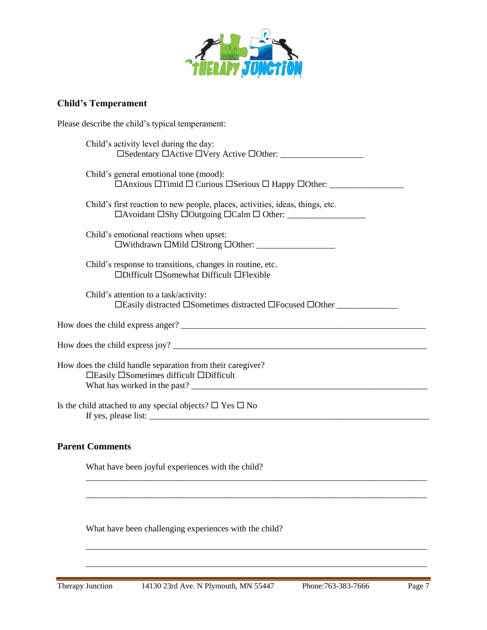

## **Child's Temperament**

Please describe the child's typical temperament:

| Child's activity level during the day:                                                                                                                                                                                                                                                                       |
|--------------------------------------------------------------------------------------------------------------------------------------------------------------------------------------------------------------------------------------------------------------------------------------------------------------|
| Child's general emotional tone (mood):<br>$\Box$ Anxious $\Box$ Timid $\Box$ Curious $\Box$ Serious $\Box$ Happy $\Box$ Other:                                                                                                                                                                               |
| Child's first reaction to new people, places, activities, ideas, things, etc.                                                                                                                                                                                                                                |
| Child's emotional reactions when upset:<br>□Withdrawn □Mild □Strong □Other: __________________                                                                                                                                                                                                               |
| Child's response to transitions, changes in routine, etc.<br>□Difficult □Somewhat Difficult □Flexible                                                                                                                                                                                                        |
| Child's attention to a task/activity:<br>□Easily distracted □Sometimes distracted □Focused □Other                                                                                                                                                                                                            |
|                                                                                                                                                                                                                                                                                                              |
|                                                                                                                                                                                                                                                                                                              |
| How does the child handle separation from their caregiver?<br>□Easily □Sometimes difficult □Difficult<br>What has worked in the past?                                                                                                                                                                        |
| Is the child attached to any special objects? $\square$ Yes $\square$ No<br>If yes, please list: $\frac{1}{2}$ is the set of the set of the set of the set of the set of the set of the set of the set of the set of the set of the set of the set of the set of the set of the set of the set of the set of |
| <b>Parent Comments</b>                                                                                                                                                                                                                                                                                       |

\_\_\_\_\_\_\_\_\_\_\_\_\_\_\_\_\_\_\_\_\_\_\_\_\_\_\_\_\_\_\_\_\_\_\_\_\_\_\_\_\_\_\_\_\_\_\_\_\_\_\_\_\_\_\_\_\_\_\_\_\_\_\_\_\_\_\_\_\_\_\_\_\_\_\_\_\_\_

\_\_\_\_\_\_\_\_\_\_\_\_\_\_\_\_\_\_\_\_\_\_\_\_\_\_\_\_\_\_\_\_\_\_\_\_\_\_\_\_\_\_\_\_\_\_\_\_\_\_\_\_\_\_\_\_\_\_\_\_\_\_\_\_\_\_\_\_\_\_\_\_\_\_\_\_\_\_

\_\_\_\_\_\_\_\_\_\_\_\_\_\_\_\_\_\_\_\_\_\_\_\_\_\_\_\_\_\_\_\_\_\_\_\_\_\_\_\_\_\_\_\_\_\_\_\_\_\_\_\_\_\_\_\_\_\_\_\_\_\_\_\_\_\_\_\_\_\_\_\_\_\_\_\_\_\_

\_\_\_\_\_\_\_\_\_\_\_\_\_\_\_\_\_\_\_\_\_\_\_\_\_\_\_\_\_\_\_\_\_\_\_\_\_\_\_\_\_\_\_\_\_\_\_\_\_\_\_\_\_\_\_\_\_\_\_\_\_\_\_\_\_\_\_\_\_\_\_\_\_\_\_\_\_\_

What have been joyful experiences with the child?

What have been challenging experiences with the child?